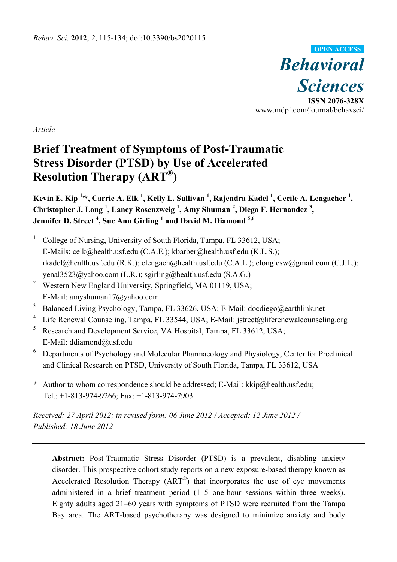

*Article* 

# **Brief Treatment of Symptoms of Post-Traumatic Stress Disorder (PTSD) by Use of Accelerated Resolution Therapy (ART®)**

**Kevin E. Kip <sup>1,</sup>\*, Carrie A. Elk <sup>1</sup>, Kelly L. Sullivan <sup>1</sup>, Rajendra Kadel <sup>1</sup>, Cecile A. Lengacher <sup>1</sup>,** Christopher J. Long<sup>1</sup>, Laney Rosenzweig<sup>1</sup>, Amy Shuman<sup>2</sup>, Diego F. Hernandez<sup>3</sup>, **Jennifer D. Street 4 , Sue Ann Girling <sup>1</sup> and David M. Diamond 5,6**

- 1 College of Nursing, University of South Florida, Tampa, FL 33612, USA; E-Mails: celk@health.usf.edu (C.A.E.); kbarber@health.usf.edu (K.L.S.); rkadel@health.usf.edu (R.K.); clengach@health.usf.edu (C.A.L.); clonglcsw@gmail.com (C.J.L.); yenal3523@yahoo.com (L.R.); sgirling@health.usf.edu (S.A.G.)
- <sup>2</sup> Western New England University, Springfield, MA 01119, USA; E-Mail: amyshuman17@yahoo.com
- <sup>3</sup> Balanced Living Psychology, Tampa, FL 33626, USA; E-Mail: docdiego@earthlink.net
- <sup>4</sup> Life Renewal Counseling, Tampa, FL 33544, USA; E-Mail: jstreet@liferenewalcounseling.org
- <sup>5</sup> Research and Development Service, VA Hospital, Tampa, FL 33612, USA; E-Mail: ddiamond@usf.edu
- 6 Departments of Psychology and Molecular Pharmacology and Physiology, Center for Preclinical and Clinical Research on PTSD, University of South Florida, Tampa, FL 33612, USA
- **\*** Author to whom correspondence should be addressed; E-Mail: kkip@health.usf.edu; Tel.: +1-813-974-9266; Fax: +1-813-974-7903.

*Received: 27 April 2012; in revised form: 06 June 2012 / Accepted: 12 June 2012 / Published: 18 June 2012* 

**Abstract:** Post-Traumatic Stress Disorder (PTSD) is a prevalent, disabling anxiety disorder. This prospective cohort study reports on a new exposure-based therapy known as Accelerated Resolution Therapy  $(ART^{\circledR})$  that incorporates the use of eye movements administered in a brief treatment period (1–5 one-hour sessions within three weeks). Eighty adults aged 21–60 years with symptoms of PTSD were recruited from the Tampa Bay area. The ART-based psychotherapy was designed to minimize anxiety and body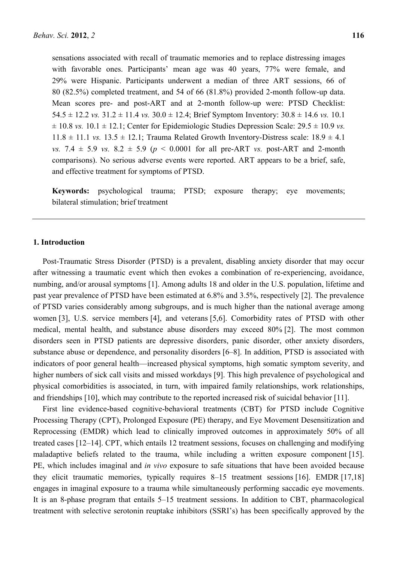sensations associated with recall of traumatic memories and to replace distressing images with favorable ones. Participants' mean age was 40 years, 77% were female, and 29% were Hispanic. Participants underwent a median of three ART sessions, 66 of 80 (82.5%) completed treatment, and 54 of 66 (81.8%) provided 2-month follow-up data. Mean scores pre- and post-ART and at 2-month follow-up were: PTSD Checklist: 54.5  $\pm$  12.2 *vs.* 31.2  $\pm$  11.4 *vs.* 30.0  $\pm$  12.4; Brief Symptom Inventory: 30.8  $\pm$  14.6 *vs.* 10.1  $\pm$  10.8 *vs.* 10.1  $\pm$  12.1; Center for Epidemiologic Studies Depression Scale: 29.5  $\pm$  10.9 *vs.*  $11.8 \pm 11.1$  *vs.*  $13.5 \pm 12.1$ ; Trauma Related Growth Inventory-Distress scale:  $18.9 \pm 4.1$ *vs.* 7.4  $\pm$  5.9 *vs.* 8.2  $\pm$  5.9 (*p* < 0.0001 for all pre-ART *vs.* post-ART and 2-month comparisons). No serious adverse events were reported. ART appears to be a brief, safe, and effective treatment for symptoms of PTSD.

**Keywords:** psychological trauma; PTSD; exposure therapy; eye movements; bilateral stimulation; brief treatment

# **1. Introduction**

Post-Traumatic Stress Disorder (PTSD) is a prevalent, disabling anxiety disorder that may occur after witnessing a traumatic event which then evokes a combination of re-experiencing, avoidance, numbing, and/or arousal symptoms [1]. Among adults 18 and older in the U.S. population, lifetime and past year prevalence of PTSD have been estimated at 6.8% and 3.5%, respectively [2]. The prevalence of PTSD varies considerably among subgroups, and is much higher than the national average among women [3], U.S. service members [4], and veterans [5,6]. Comorbidity rates of PTSD with other medical, mental health, and substance abuse disorders may exceed 80% [2]. The most common disorders seen in PTSD patients are depressive disorders, panic disorder, other anxiety disorders, substance abuse or dependence, and personality disorders [6–8]. In addition, PTSD is associated with indicators of poor general health—increased physical symptoms, high somatic symptom severity, and higher numbers of sick call visits and missed workdays [9]. This high prevalence of psychological and physical comorbidities is associated, in turn, with impaired family relationships, work relationships, and friendships [10], which may contribute to the reported increased risk of suicidal behavior [11].

First line evidence-based cognitive-behavioral treatments (CBT) for PTSD include Cognitive Processing Therapy (CPT), Prolonged Exposure (PE) therapy, and Eye Movement Desensitization and Reprocessing (EMDR) which lead to clinically improved outcomes in approximately 50% of all treated cases [12–14]. CPT, which entails 12 treatment sessions, focuses on challenging and modifying maladaptive beliefs related to the trauma, while including a written exposure component [15]. PE, which includes imaginal and *in vivo* exposure to safe situations that have been avoided because they elicit traumatic memories, typically requires 8–15 treatment sessions [16]. EMDR [17,18] engages in imaginal exposure to a trauma while simultaneously performing saccadic eye movements. It is an 8-phase program that entails 5–15 treatment sessions. In addition to CBT, pharmacological treatment with selective serotonin reuptake inhibitors (SSRI's) has been specifically approved by the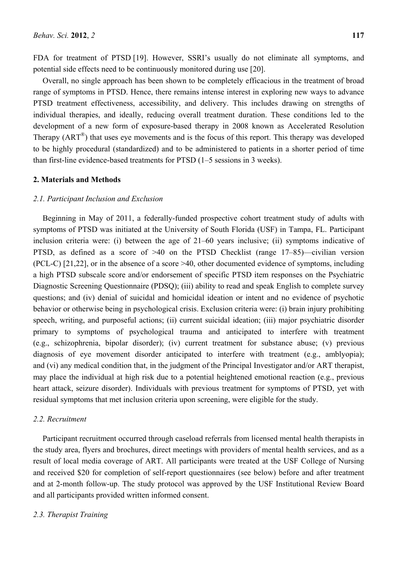FDA for treatment of PTSD [19]. However, SSRI's usually do not eliminate all symptoms, and potential side effects need to be continuously monitored during use [20].

Overall, no single approach has been shown to be completely efficacious in the treatment of broad range of symptoms in PTSD. Hence, there remains intense interest in exploring new ways to advance PTSD treatment effectiveness, accessibility, and delivery. This includes drawing on strengths of individual therapies, and ideally, reducing overall treatment duration. These conditions led to the development of a new form of exposure-based therapy in 2008 known as Accelerated Resolution Therapy (ART<sup>®</sup>) that uses eye movements and is the focus of this report. This therapy was developed to be highly procedural (standardized) and to be administered to patients in a shorter period of time than first-line evidence-based treatments for PTSD (1–5 sessions in 3 weeks).

# **2. Materials and Methods**

# *2.1. Participant Inclusion and Exclusion*

Beginning in May of 2011, a federally-funded prospective cohort treatment study of adults with symptoms of PTSD was initiated at the University of South Florida (USF) in Tampa, FL. Participant inclusion criteria were: (i) between the age of 21–60 years inclusive; (ii) symptoms indicative of PTSD, as defined as a score of >40 on the PTSD Checklist (range 17–85)—civilian version (PCL-C) [21,22], or in the absence of a score >40, other documented evidence of symptoms, including a high PTSD subscale score and/or endorsement of specific PTSD item responses on the Psychiatric Diagnostic Screening Questionnaire (PDSQ); (iii) ability to read and speak English to complete survey questions; and (iv) denial of suicidal and homicidal ideation or intent and no evidence of psychotic behavior or otherwise being in psychological crisis. Exclusion criteria were: (i) brain injury prohibiting speech, writing, and purposeful actions; (ii) current suicidal ideation; (iii) major psychiatric disorder primary to symptoms of psychological trauma and anticipated to interfere with treatment (e.g., schizophrenia, bipolar disorder); (iv) current treatment for substance abuse; (v) previous diagnosis of eye movement disorder anticipated to interfere with treatment (e.g., amblyopia); and (vi) any medical condition that, in the judgment of the Principal Investigator and/or ART therapist, may place the individual at high risk due to a potential heightened emotional reaction (e.g., previous heart attack, seizure disorder). Individuals with previous treatment for symptoms of PTSD, yet with residual symptoms that met inclusion criteria upon screening, were eligible for the study.

# *2.2. Recruitment*

Participant recruitment occurred through caseload referrals from licensed mental health therapists in the study area, flyers and brochures, direct meetings with providers of mental health services, and as a result of local media coverage of ART. All participants were treated at the USF College of Nursing and received \$20 for completion of self-report questionnaires (see below) before and after treatment and at 2-month follow-up. The study protocol was approved by the USF Institutional Review Board and all participants provided written informed consent.

# *2.3. Therapist Training*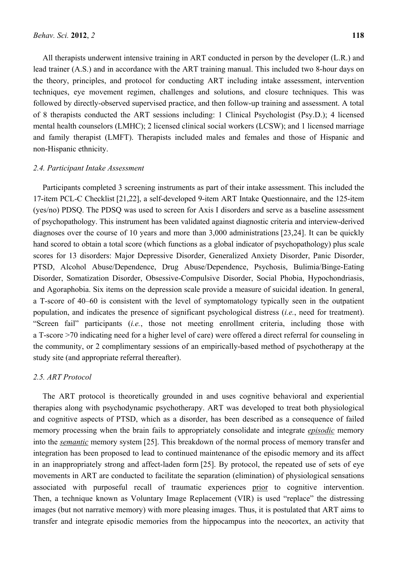All therapists underwent intensive training in ART conducted in person by the developer (L.R.) and lead trainer (A.S.) and in accordance with the ART training manual. This included two 8-hour days on the theory, principles, and protocol for conducting ART including intake assessment, intervention techniques, eye movement regimen, challenges and solutions, and closure techniques. This was followed by directly-observed supervised practice, and then follow-up training and assessment. A total of 8 therapists conducted the ART sessions including: 1 Clinical Psychologist (Psy.D.); 4 licensed mental health counselors (LMHC); 2 licensed clinical social workers (LCSW); and 1 licensed marriage and family therapist (LMFT). Therapists included males and females and those of Hispanic and non-Hispanic ethnicity.

## *2.4. Participant Intake Assessment*

Participants completed 3 screening instruments as part of their intake assessment. This included the 17-item PCL-C Checklist [21,22], a self-developed 9-item ART Intake Questionnaire, and the 125-item (yes/no) PDSQ. The PDSQ was used to screen for Axis I disorders and serve as a baseline assessment of psychopathology. This instrument has been validated against diagnostic criteria and interview-derived diagnoses over the course of 10 years and more than 3,000 administrations [23,24]. It can be quickly hand scored to obtain a total score (which functions as a global indicator of psychopathology) plus scale scores for 13 disorders: Major Depressive Disorder, Generalized Anxiety Disorder, Panic Disorder, PTSD, Alcohol Abuse/Dependence, Drug Abuse/Dependence, Psychosis, Bulimia/Binge-Eating Disorder, Somatization Disorder, Obsessive-Compulsive Disorder, Social Phobia, Hypochondriasis, and Agoraphobia. Six items on the depression scale provide a measure of suicidal ideation. In general, a T-score of 40–60 is consistent with the level of symptomatology typically seen in the outpatient population, and indicates the presence of significant psychological distress (*i.e.*, need for treatment). "Screen fail" participants (*i.e.*, those not meeting enrollment criteria, including those with a T-score >70 indicating need for a higher level of care) were offered a direct referral for counseling in the community, or 2 complimentary sessions of an empirically-based method of psychotherapy at the study site (and appropriate referral thereafter).

# *2.5. ART Protocol*

The ART protocol is theoretically grounded in and uses cognitive behavioral and experiential therapies along with psychodynamic psychotherapy. ART was developed to treat both physiological and cognitive aspects of PTSD, which as a disorder, has been described as a consequence of failed memory processing when the brain fails to appropriately consolidate and integrate *episodic* memory into the *semantic* memory system [25]. This breakdown of the normal process of memory transfer and integration has been proposed to lead to continued maintenance of the episodic memory and its affect in an inappropriately strong and affect-laden form [25]. By protocol, the repeated use of sets of eye movements in ART are conducted to facilitate the separation (elimination) of physiological sensations associated with purposeful recall of traumatic experiences prior to cognitive intervention. Then, a technique known as Voluntary Image Replacement (VIR) is used "replace" the distressing images (but not narrative memory) with more pleasing images. Thus, it is postulated that ART aims to transfer and integrate episodic memories from the hippocampus into the neocortex, an activity that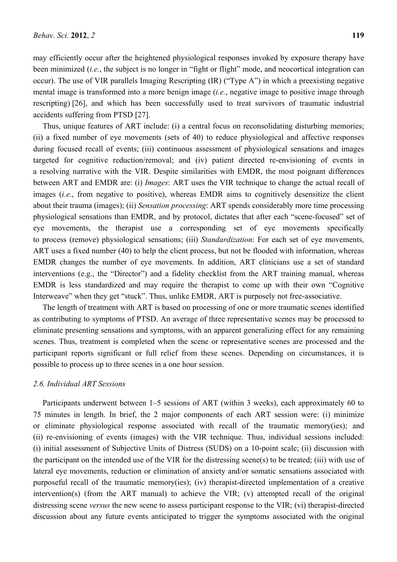may efficiently occur after the heightened physiological responses invoked by exposure therapy have been minimized (*i.e.*, the subject is no longer in "fight or flight" mode, and neocortical integration can occur). The use of VIR parallels Imaging Rescripting (IR) ("Type A") in which a preexisting negative mental image is transformed into a more benign image (*i.e.*, negative image to positive image through rescripting) [26], and which has been successfully used to treat survivors of traumatic industrial accidents suffering from PTSD [27].

Thus, unique features of ART include: (i) a central focus on reconsolidating disturbing memories; (ii) a fixed number of eye movements (sets of 40) to reduce physiological and affective responses during focused recall of events; (iii) continuous assessment of physiological sensations and images targeted for cognitive reduction/removal; and (iv) patient directed re-envisioning of events in a resolving narrative with the VIR. Despite similarities with EMDR, the most poignant differences between ART and EMDR are: (i) *Images*: ART uses the VIR technique to change the actual recall of images (*i.e.*, from negative to positive), whereas EMDR aims to cognitively desensitize the client about their trauma (images); (ii) *Sensation processing*: ART spends considerably more time processing physiological sensations than EMDR, and by protocol, dictates that after each "scene-focused" set of eye movements, the therapist use a corresponding set of eye movements specifically to process (remove) physiological sensations; (iii) *Standardization*: For each set of eye movements, ART uses a fixed number (40) to help the client process, but not be flooded with information, whereas EMDR changes the number of eye movements. In addition, ART clinicians use a set of standard interventions (e.g., the "Director") and a fidelity checklist from the ART training manual, whereas EMDR is less standardized and may require the therapist to come up with their own "Cognitive Interweave" when they get "stuck". Thus, unlike EMDR, ART is purposely not free-associative.

The length of treatment with ART is based on processing of one or more traumatic scenes identified as contributing to symptoms of PTSD. An average of three representative scenes may be processed to eliminate presenting sensations and symptoms, with an apparent generalizing effect for any remaining scenes. Thus, treatment is completed when the scene or representative scenes are processed and the participant reports significant or full relief from these scenes. Depending on circumstances, it is possible to process up to three scenes in a one hour session.

# *2.6. Individual ART Sessions*

Participants underwent between 1–5 sessions of ART (within 3 weeks), each approximately 60 to 75 minutes in length. In brief, the 2 major components of each ART session were: (i) minimize or eliminate physiological response associated with recall of the traumatic memory(ies); and (ii) re-envisioning of events (images) with the VIR technique. Thus, individual sessions included: (i) initial assessment of Subjective Units of Distress (SUDS) on a 10-point scale; (ii) discussion with the participant on the intended use of the VIR for the distressing scene(s) to be treated; (iii) with use of lateral eye movements, reduction or elimination of anxiety and/or somatic sensations associated with purposeful recall of the traumatic memory(ies); (iv) therapist-directed implementation of a creative intervention(s) (from the ART manual) to achieve the VIR; (v) attempted recall of the original distressing scene *versus* the new scene to assess participant response to the VIR; (vi) therapist-directed discussion about any future events anticipated to trigger the symptoms associated with the original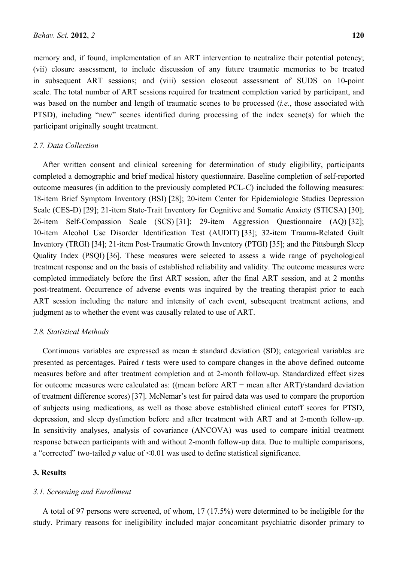memory and, if found, implementation of an ART intervention to neutralize their potential potency; (vii) closure assessment, to include discussion of any future traumatic memories to be treated in subsequent ART sessions; and (viii) session closeout assessment of SUDS on 10-point scale. The total number of ART sessions required for treatment completion varied by participant, and was based on the number and length of traumatic scenes to be processed (*i.e.*, those associated with PTSD), including "new" scenes identified during processing of the index scene(s) for which the participant originally sought treatment.

# *2.7. Data Collection*

After written consent and clinical screening for determination of study eligibility, participants completed a demographic and brief medical history questionnaire. Baseline completion of self-reported outcome measures (in addition to the previously completed PCL-C) included the following measures: 18-item Brief Symptom Inventory (BSI) [28]; 20-item Center for Epidemiologic Studies Depression Scale (CES*-*D) [29]; 21-item State-Trait Inventory for Cognitive and Somatic Anxiety (STICSA) [30]; 26-item Self-Compassion Scale (SCS) [31]; 29-item Aggression Questionnaire (AQ) [32]; 10-item Alcohol Use Disorder Identification Test (AUDIT) [33]; 32-item Trauma-Related Guilt Inventory (TRGI) [34]; 21-item Post-Traumatic Growth Inventory (PTGI) [35]; and the Pittsburgh Sleep Quality Index (PSQI) [36]. These measures were selected to assess a wide range of psychological treatment response and on the basis of established reliability and validity. The outcome measures were completed immediately before the first ART session, after the final ART session, and at 2 months post-treatment. Occurrence of adverse events was inquired by the treating therapist prior to each ART session including the nature and intensity of each event, subsequent treatment actions, and judgment as to whether the event was causally related to use of ART.

# *2.8. Statistical Methods*

Continuous variables are expressed as mean  $\pm$  standard deviation (SD); categorical variables are presented as percentages. Paired *t* tests were used to compare changes in the above defined outcome measures before and after treatment completion and at 2-month follow-up. Standardized effect sizes for outcome measures were calculated as: ((mean before ART − mean after ART)/standard deviation of treatment difference scores) [37]. McNemar's test for paired data was used to compare the proportion of subjects using medications, as well as those above established clinical cutoff scores for PTSD, depression, and sleep dysfunction before and after treatment with ART and at 2-month follow-up. In sensitivity analyses, analysis of covariance (ANCOVA) was used to compare initial treatment response between participants with and without 2-month follow-up data. Due to multiple comparisons, a "corrected" two-tailed *p* value of <0.01 was used to define statistical significance.

# **3. Results**

#### *3.1. Screening and Enrollment*

A total of 97 persons were screened, of whom, 17 (17.5%) were determined to be ineligible for the study. Primary reasons for ineligibility included major concomitant psychiatric disorder primary to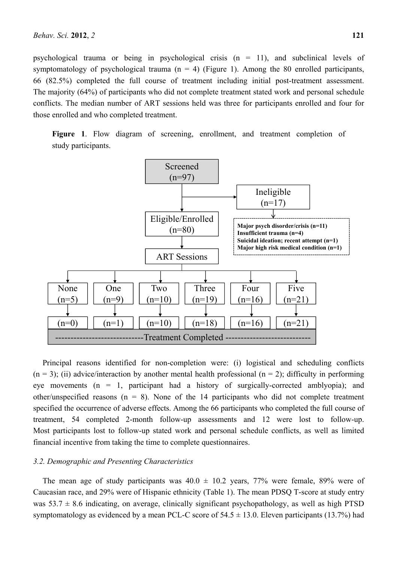psychological trauma or being in psychological crisis  $(n = 11)$ , and subclinical levels of symptomatology of psychological trauma  $(n = 4)$  (Figure 1). Among the 80 enrolled participants, 66 (82.5%) completed the full course of treatment including initial post-treatment assessment. The majority (64%) of participants who did not complete treatment stated work and personal schedule conflicts. The median number of ART sessions held was three for participants enrolled and four for those enrolled and who completed treatment.

**Figure 1**. Flow diagram of screening, enrollment, and treatment completion of study participants.



Principal reasons identified for non-completion were: (i) logistical and scheduling conflicts  $(n = 3)$ ; (ii) advice/interaction by another mental health professional  $(n = 2)$ ; difficulty in performing eye movements  $(n = 1$ , participant had a history of surgically-corrected amblyopia); and other/unspecified reasons  $(n = 8)$ . None of the 14 participants who did not complete treatment specified the occurrence of adverse effects. Among the 66 participants who completed the full course of treatment, 54 completed 2-month follow-up assessments and 12 were lost to follow-up. Most participants lost to follow-up stated work and personal schedule conflicts, as well as limited financial incentive from taking the time to complete questionnaires.

#### *3.2. Demographic and Presenting Characteristics*

The mean age of study participants was  $40.0 \pm 10.2$  years, 77% were female, 89% were of Caucasian race, and 29% were of Hispanic ethnicity (Table 1). The mean PDSQ T-score at study entry was  $53.7 \pm 8.6$  indicating, on average, clinically significant psychopathology, as well as high PTSD symptomatology as evidenced by a mean PCL-C score of  $54.5 \pm 13.0$ . Eleven participants (13.7%) had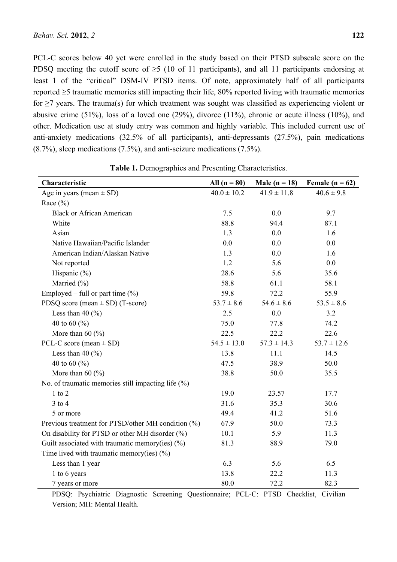PCL-C scores below 40 yet were enrolled in the study based on their PTSD subscale score on the PDSQ meeting the cutoff score of  $\geq$ 5 (10 of 11 participants), and all 11 participants endorsing at least 1 of the "critical" DSM-IV PTSD items. Of note, approximately half of all participants reported ≥5 traumatic memories still impacting their life, 80% reported living with traumatic memories for ≥7 years. The trauma(s) for which treatment was sought was classified as experiencing violent or abusive crime (51%), loss of a loved one (29%), divorce (11%), chronic or acute illness (10%), and other. Medication use at study entry was common and highly variable. This included current use of anti-anxiety medications (32.5% of all participants), anti-depressants (27.5%), pain medications (8.7%), sleep medications (7.5%), and anti-seizure medications (7.5%).

| Characteristic                                        | All $(n = 80)$  | Male ( $n = 18$ ) | Female ( $n = 62$ ) |
|-------------------------------------------------------|-----------------|-------------------|---------------------|
| Age in years (mean $\pm$ SD)                          | $40.0 \pm 10.2$ | $41.9 \pm 11.8$   | $40.6 \pm 9.8$      |
| Race $(\% )$                                          |                 |                   |                     |
| <b>Black or African American</b>                      | 7.5             | 0.0               | 9.7                 |
| White                                                 | 88.8            | 94.4              | 87.1                |
| Asian                                                 | 1.3             | 0.0               | 1.6                 |
| Native Hawaiian/Pacific Islander                      | 0.0             | 0.0               | 0.0                 |
| American Indian/Alaskan Native                        | 1.3             | 0.0               | 1.6                 |
| Not reported                                          | 1.2             | 5.6               | 0.0                 |
| Hispanic $(\% )$                                      | 28.6            | 5.6               | 35.6                |
| Married (%)                                           | 58.8            | 61.1              | 58.1                |
| Employed – full or part time $(\%)$                   | 59.8            | 72.2              | 55.9                |
| PDSQ score (mean $\pm$ SD) (T-score)                  | $53.7 \pm 8.6$  | $54.6 \pm 8.6$    | $53.5 \pm 8.6$      |
| Less than 40 $(\% )$                                  | 2.5             | 0.0               | 3.2                 |
| 40 to 60 $(\% )$                                      | 75.0            | 77.8              | 74.2                |
| More than 60 $(\% )$                                  | 22.5            | 22.2              | 22.6                |
| PCL-C score (mean $\pm$ SD)                           | $54.5 \pm 13.0$ | $57.3 \pm 14.3$   | $53.7 \pm 12.6$     |
| Less than 40 $(\% )$                                  | 13.8            | 11.1              | 14.5                |
| 40 to 60 $(\% )$                                      | 47.5            | 38.9              | 50.0                |
| More than $60$ (%)                                    | 38.8            | 50.0              | 35.5                |
| No. of traumatic memories still impacting life $(\%)$ |                 |                   |                     |
| $1$ to $2$                                            | 19.0            | 23.57             | 17.7                |
| $3$ to $4$                                            | 31.6            | 35.3              | 30.6                |
| 5 or more                                             | 49.4            | 41.2              | 51.6                |
| Previous treatment for PTSD/other MH condition (%)    | 67.9            | 50.0              | 73.3                |
| On disability for PTSD or other MH disorder (%)       | 10.1            | 5.9               | 11.3                |
| Guilt associated with traumatic memory(ies) $(\%)$    | 81.3            | 88.9              | 79.0                |
| Time lived with traumatic memory(ies) $(\%)$          |                 |                   |                     |
| Less than 1 year                                      | 6.3             | 5.6               | 6.5                 |
| 1 to 6 years                                          | 13.8            | 22.2              | 11.3                |
| 7 years or more                                       | 80.0            | 72.2              | 82.3                |

**Table 1.** Demographics and Presenting Characteristics.

PDSQ: Psychiatric Diagnostic Screening Questionnaire; PCL-C: PTSD Checklist, Civilian Version; MH: Mental Health.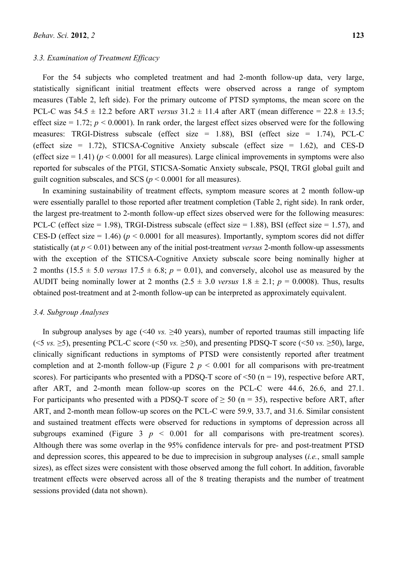### *3.3. Examination of Treatment Efficacy*

For the 54 subjects who completed treatment and had 2-month follow-up data, very large, statistically significant initial treatment effects were observed across a range of symptom measures (Table 2, left side). For the primary outcome of PTSD symptoms, the mean score on the PCL-C was  $54.5 \pm 12.2$  before ART *versus*  $31.2 \pm 11.4$  after ART (mean difference =  $22.8 \pm 13.5$ ; effect size = 1.72;  $p < 0.0001$ ). In rank order, the largest effect sizes observed were for the following measures: TRGI-Distress subscale (effect size =  $1.88$ ), BSI (effect size =  $1.74$ ), PCL-C (effect size = 1.72), STICSA-Cognitive Anxiety subscale (effect size = 1.62), and CES-D (effect size  $= 1.41$ ) ( $p \le 0.0001$  for all measures). Large clinical improvements in symptoms were also reported for subscales of the PTGI, STICSA-Somatic Anxiety subscale, PSQI, TRGI global guilt and guilt cognition subscales, and SCS ( $p < 0.0001$  for all measures).

In examining sustainability of treatment effects, symptom measure scores at 2 month follow-up were essentially parallel to those reported after treatment completion (Table 2, right side). In rank order, the largest pre-treatment to 2-month follow-up effect sizes observed were for the following measures: PCL-C (effect size = 1.98), TRGI-Distress subscale (effect size = 1.88), BSI (effect size = 1.57), and CES-D (effect size  $= 1.46$ ) ( $p \le 0.0001$  for all measures). Importantly, symptom scores did not differ statistically (at *p* < 0.01) between any of the initial post-treatment *versus* 2-month follow-up assessments with the exception of the STICSA-Cognitive Anxiety subscale score being nominally higher at 2 months (15.5  $\pm$  5.0 *versus* 17.5  $\pm$  6.8; *p* = 0.01), and conversely, alcohol use as measured by the AUDIT being nominally lower at 2 months  $(2.5 \pm 3.0 \text{ versus } 1.8 \pm 2.1; p = 0.0008)$ . Thus, results obtained post-treatment and at 2-month follow-up can be interpreted as approximately equivalent.

## *3.4. Subgroup Analyses*

In subgroup analyses by age ( $\leq 40$  *vs.*  $\geq 40$  years), number of reported traumas still impacting life ( $\leq$ 5 *vs.*  $\geq$ 5), presenting PCL-C score ( $\leq$ 50 *vs.*  $\geq$ 50), and presenting PDSQ-T score ( $\leq$ 50 *vs.*  $\geq$ 50), large, clinically significant reductions in symptoms of PTSD were consistently reported after treatment completion and at 2-month follow-up (Figure  $2 p \le 0.001$  for all comparisons with pre-treatment scores). For participants who presented with a PDSQ-T score of  $\leq 50$  (n = 19), respective before ART, after ART, and 2-month mean follow-up scores on the PCL-C were 44.6, 26.6, and 27.1. For participants who presented with a PDSQ-T score of  $\geq$  50 (n = 35), respective before ART, after ART, and 2-month mean follow-up scores on the PCL-C were 59.9, 33.7, and 31.6. Similar consistent and sustained treatment effects were observed for reductions in symptoms of depression across all subgroups examined (Figure  $3$   $p \le 0.001$  for all comparisons with pre-treatment scores). Although there was some overlap in the 95% confidence intervals for pre- and post-treatment PTSD and depression scores, this appeared to be due to imprecision in subgroup analyses (*i.e.*, small sample sizes), as effect sizes were consistent with those observed among the full cohort. In addition, favorable treatment effects were observed across all of the 8 treating therapists and the number of treatment sessions provided (data not shown).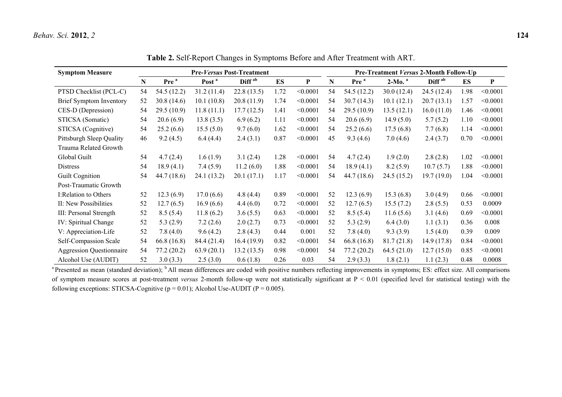| <b>Symptom Measure</b>          | <b>Pre-Versus Post-Treatment</b> |                  |                   |                    |           |          | Pre-Treatment Versus 2-Month Follow-Up |                  |             |                    |      |          |
|---------------------------------|----------------------------------|------------------|-------------------|--------------------|-----------|----------|----------------------------------------|------------------|-------------|--------------------|------|----------|
|                                 | N                                | Pre <sup>a</sup> | Post <sup>a</sup> | Diff <sup>ab</sup> | <b>ES</b> | P        | N                                      | Pre <sup>a</sup> | $2-Mo.a$    | Diff <sup>ab</sup> | ES   | P        |
| PTSD Checklist (PCL-C)          | 54                               | 54.5 (12.2)      | 31.2(11.4)        | 22.8(13.5)         | 1.72      | < 0.0001 | 54                                     | 54.5 (12.2)      | 30.0(12.4)  | 24.5 (12.4)        | 1.98 | < 0.0001 |
| Brief Symptom Inventory         | 52                               | 30.8(14.6)       | 10.1(10.8)        | 20.8(11.9)         | 1.74      | < 0.0001 | 54                                     | 30.7(14.3)       | 10.1(12.1)  | 20.7(13.1)         | 1.57 | < 0.0001 |
| CES-D (Depression)              | 54                               | 29.5(10.9)       | 11.8(11.1)        | 17.7(12.5)         | 1.41      | < 0.0001 | 54                                     | 29.5(10.9)       | 13.5(12.1)  | 16.0(11.0)         | 1.46 | < 0.0001 |
| STICSA (Somatic)                | 54                               | 20.6(6.9)        | 13.8(3.5)         | 6.9(6.2)           | 1.11      | < 0.0001 | 54                                     | 20.6(6.9)        | 14.9(5.0)   | 5.7(5.2)           | 1.10 | < 0.0001 |
| STICSA (Cognitive)              | 54                               | 25.2(6.6)        | 15.5(5.0)         | 9.7(6.0)           | 1.62      | < 0.0001 | 54                                     | 25.2(6.6)        | 17.5(6.8)   | 7.7(6.8)           | 1.14 | < 0.0001 |
| Pittsburgh Sleep Quality        | 46                               | 9.2(4.5)         | 6.4(4.4)          | 2.4(3.1)           | 0.87      | < 0.0001 | 45                                     | 9.3(4.6)         | 7.0(4.6)    | 2.4(3.7)           | 0.70 | < 0.0001 |
| Trauma Related Growth           |                                  |                  |                   |                    |           |          |                                        |                  |             |                    |      |          |
| Global Guilt                    | 54                               | 4.7(2.4)         | 1.6(1.9)          | 3.1(2.4)           | 1.28      | < 0.0001 | 54                                     | 4.7(2.4)         | 1.9(2.0)    | 2.8(2.8)           | 1.02 | < 0.0001 |
| <b>Distress</b>                 | 54                               | 18.9(4.1)        | 7.4(5.9)          | 11.2(6.0)          | 1.88      | < 0.0001 | 54                                     | 18.9(4.1)        | 8.2(5.9)    | 10.7(5.7)          | 1.88 | < 0.0001 |
| Guilt Cognition                 | 54                               | 44.7 (18.6)      | 24.1(13.2)        | 20.1(17.1)         | 1.17      | < 0.0001 | 54                                     | 44.7(18.6)       | 24.5 (15.2) | 19.7(19.0)         | 1.04 | < 0.0001 |
| Post-Traumatic Growth           |                                  |                  |                   |                    |           |          |                                        |                  |             |                    |      |          |
| I:Relation to Others            | 52                               | 12.3(6.9)        | 17.0(6.6)         | 4.8(4.4)           | 0.89      | < 0.0001 | 52                                     | 12.3(6.9)        | 15.3(6.8)   | 3.0(4.9)           | 0.66 | < 0.0001 |
| II: New Possibilities           | 52                               | 12.7(6.5)        | 16.9(6.6)         | 4.4(6.0)           | 0.72      | < 0.0001 | 52                                     | 12.7(6.5)        | 15.5(7.2)   | 2.8(5.5)           | 0.53 | 0.0009   |
| III: Personal Strength          | 52                               | 8.5(5.4)         | 11.8(6.2)         | 3.6(5.5)           | 0.63      | < 0.0001 | 52                                     | 8.5(5.4)         | 11.6(5.6)   | 3.1(4.6)           | 0.69 | < 0.0001 |
| IV: Spiritual Change            | 52                               | 5.3(2.9)         | 7.2(2.6)          | 2.0(2.7)           | 0.73      | < 0.0001 | 52                                     | 5.3(2.9)         | 6.4(3.0)    | 1.1(3.1)           | 0.36 | 0.008    |
| V: Appreciation-Life            | 52                               | 7.8(4.0)         | 9.6(4.2)          | 2.8(4.3)           | 0.44      | 0.001    | 52                                     | 7.8(4.0)         | 9.3(3.9)    | 1.5(4.0)           | 0.39 | 0.009    |
| Self-Compassion Scale           | 54                               | 66.8 (16.8)      | 84.4 (21.4)       | 16.4(19.9)         | 0.82      | < 0.0001 | 54                                     | 66.8(16.8)       | 81.7(21.8)  | 14.9(17.8)         | 0.84 | < 0.0001 |
| <b>Aggression Questionnaire</b> | 54                               | 77.2(20.2)       | 63.9(20.1)        | 13.2(13.5)         | 0.98      | < 0.0001 | 54                                     | 77.2(20.2)       | 64.5(21.0)  | 12.7(15.0)         | 0.85 | < 0.0001 |
| Alcohol Use (AUDIT)             | 52                               | 3.0(3.3)         | 2.5(3.0)          | 0.6(1.8)           | 0.26      | 0.03     | 54                                     | 2.9(3.3)         | 1.8(2.1)    | 1.1(2.3)           | 0.48 | 0.0008   |

**Table 2.** Self-Report Changes in Symptoms Before and After Treatment with ART.

<sup>a</sup> Presented as mean (standard deviation); <sup>b</sup> All mean differences are coded with positive numbers reflecting improvements in symptoms; ES: effect size. All comparisons of symptom measure scores at post-treatment *versus* 2-month follow-up were not statistically significant at P < 0.01 (specified level for statistical testing) with the following exceptions: STICSA-Cognitive ( $p = 0.01$ ); Alcohol Use-AUDIT ( $P = 0.005$ ).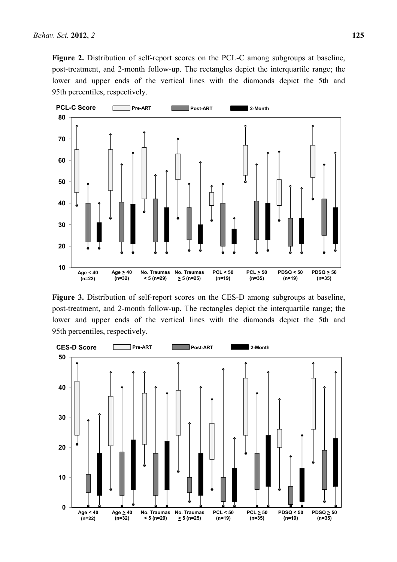**Figure 2.** Distribution of self-report scores on the PCL-C among subgroups at baseline, post-treatment, and 2-month follow-up. The rectangles depict the interquartile range; the lower and upper ends of the vertical lines with the diamonds depict the 5th and 95th percentiles, respectively.



**Figure 3.** Distribution of self-report scores on the CES-D among subgroups at baseline, post-treatment, and 2-month follow-up. The rectangles depict the interquartile range; the lower and upper ends of the vertical lines with the diamonds depict the 5th and 95th percentiles, respectively.

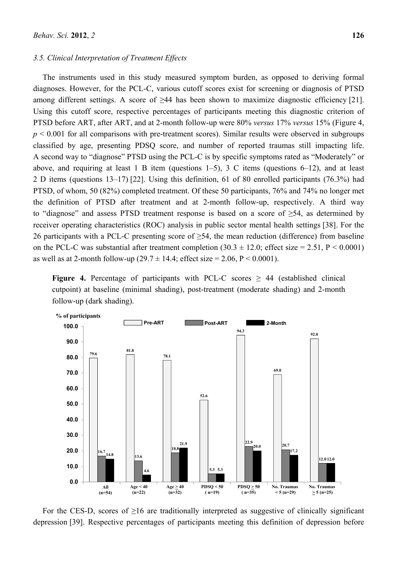#### *3.5. Clinical Interpretation of Treatment Effects*

The instruments used in this study measured symptom burden, as opposed to deriving formal diagnoses. However, for the PCL-C, various cutoff scores exist for screening or diagnosis of PTSD among different settings. A score of >44 has been shown to maximize diagnostic efficiency [21]. Using this cutoff score, respective percentages of participants meeting this diagnostic criterion of PTSD before ART, after ART, and at 2-month follow-up were 80% *versus* 17% *versus* 15% (Figure 4,  $p \le 0.001$  for all comparisons with pre-treatment scores). Similar results were observed in subgroups classified by age, presenting PDSQ score, and number of reported traumas still impacting life. A second way to "diagnose" PTSD using the PCL-C is by specific symptoms rated as "Moderately" or above, and requiring at least 1 B item (questions  $1-5$ ), 3 C items (questions  $6-12$ ), and at least 2 D items (questions 13–17) [22]. Using this definition, 61 of 80 enrolled participants (76.3%) had PTSD, of whom, 50 (82%) completed treatment. Of these 50 participants, 76% and 74% no longer met the definition of PTSD after treatment and at 2-month follow-up, respectively. A third way to "diagnose" and assess PTSD treatment response is based on a score of  $\geq 54$ , as determined by receiver operating characteristics (ROC) analysis in public sector mental health settings [38]. For the 26 participants with a PCL-C presenting score of  $\geq$ 54, the mean reduction (difference) from baseline on the PCL-C was substantial after treatment completion  $(30.3 \pm 12.0)$ ; effect size = 2.51, P < 0.0001) as well as at 2-month follow-up  $(29.7 \pm 14.4)$ ; effect size = 2.06, P < 0.0001).

**Figure 4.** Percentage of participants with PCL-C scores  $\geq$  44 (established clinical cutpoint) at baseline (minimal shading), post-treatment (moderate shading) and 2-month follow-up (dark shading).



For the CES-D, scores of  $\geq 16$  are traditionally interpreted as suggestive of clinically significant depression [39]. Respective percentages of participants meeting this definition of depression before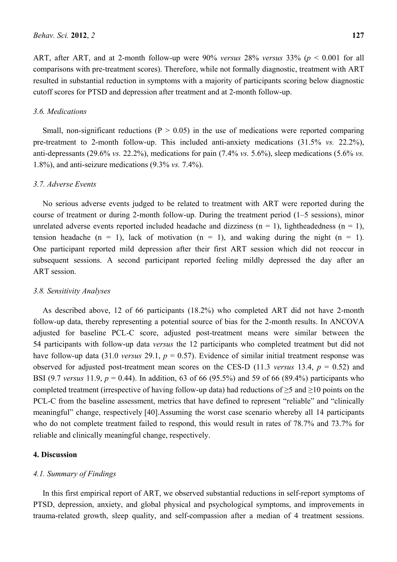ART, after ART, and at 2-month follow-up were 90% *versus* 28% *versus* 33% (*p* < 0.001 for all comparisons with pre-treatment scores). Therefore, while not formally diagnostic, treatment with ART resulted in substantial reduction in symptoms with a majority of participants scoring below diagnostic cutoff scores for PTSD and depression after treatment and at 2-month follow-up.

# *3.6. Medications*

Small, non-significant reductions ( $P > 0.05$ ) in the use of medications were reported comparing pre-treatment to 2-month follow-up. This included anti-anxiety medications (31.5% *vs.* 22.2%), anti-depressants (29.6% *vs.* 22.2%), medications for pain (7.4% *vs.* 5.6%), sleep medications (5.6% *vs.* 1.8%), and anti-seizure medications (9.3% *vs.* 7.4%).

# *3.7. Adverse Events*

No serious adverse events judged to be related to treatment with ART were reported during the course of treatment or during 2-month follow-up. During the treatment period (1–5 sessions), minor unrelated adverse events reported included headache and dizziness  $(n = 1)$ , lightheadedness  $(n = 1)$ , tension headache (n = 1), lack of motivation (n = 1), and waking during the night (n = 1). One participant reported mild depression after their first ART session which did not reoccur in subsequent sessions. A second participant reported feeling mildly depressed the day after an ART session.

# *3.8. Sensitivity Analyses*

As described above, 12 of 66 participants (18.2%) who completed ART did not have 2-month follow-up data, thereby representing a potential source of bias for the 2-month results. In ANCOVA adjusted for baseline PCL-C score, adjusted post-treatment means were similar between the 54 participants with follow-up data *versus* the 12 participants who completed treatment but did not have follow-up data (31.0 *versus* 29.1,  $p = 0.57$ ). Evidence of similar initial treatment response was observed for adjusted post-treatment mean scores on the CES-D (11.3 *versus* 13.4, *p* = 0.52) and BSI (9.7 *versus* 11.9, *p* = 0.44). In addition, 63 of 66 (95.5%) and 59 of 66 (89.4%) participants who completed treatment (irrespective of having follow-up data) had reductions of  $\geq$ 5 and  $\geq$ 10 points on the PCL-C from the baseline assessment, metrics that have defined to represent "reliable" and "clinically meaningful" change, respectively [40].Assuming the worst case scenario whereby all 14 participants who do not complete treatment failed to respond, this would result in rates of 78.7% and 73.7% for reliable and clinically meaningful change, respectively.

## **4. Discussion**

### *4.1. Summary of Findings*

In this first empirical report of ART, we observed substantial reductions in self-report symptoms of PTSD, depression, anxiety, and global physical and psychological symptoms, and improvements in trauma-related growth, sleep quality, and self-compassion after a median of 4 treatment sessions.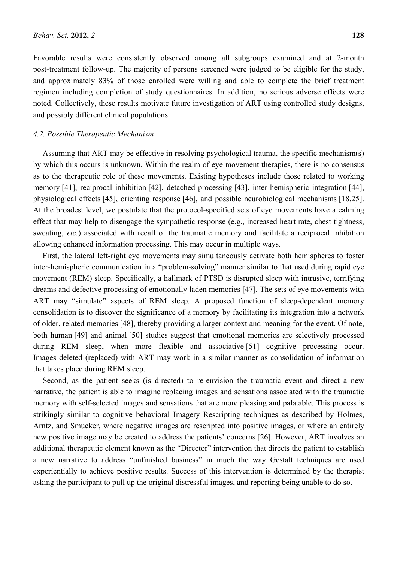Favorable results were consistently observed among all subgroups examined and at 2-month post-treatment follow-up. The majority of persons screened were judged to be eligible for the study, and approximately 83% of those enrolled were willing and able to complete the brief treatment regimen including completion of study questionnaires. In addition, no serious adverse effects were noted. Collectively, these results motivate future investigation of ART using controlled study designs, and possibly different clinical populations.

#### *4.2. Possible Therapeutic Mechanism*

Assuming that ART may be effective in resolving psychological trauma, the specific mechanism(s) by which this occurs is unknown. Within the realm of eye movement therapies, there is no consensus as to the therapeutic role of these movements. Existing hypotheses include those related to working memory [41], reciprocal inhibition [42], detached processing [43], inter-hemispheric integration [44], physiological effects [45], orienting response [46], and possible neurobiological mechanisms [18,25]. At the broadest level, we postulate that the protocol-specified sets of eye movements have a calming effect that may help to disengage the sympathetic response (e.g., increased heart rate, chest tightness, sweating, *etc.*) associated with recall of the traumatic memory and facilitate a reciprocal inhibition allowing enhanced information processing. This may occur in multiple ways.

First, the lateral left-right eye movements may simultaneously activate both hemispheres to foster inter-hemispheric communication in a "problem-solving" manner similar to that used during rapid eye movement (REM) sleep. Specifically, a hallmark of PTSD is disrupted sleep with intrusive, terrifying dreams and defective processing of emotionally laden memories [47]. The sets of eye movements with ART may "simulate" aspects of REM sleep. A proposed function of sleep-dependent memory consolidation is to discover the significance of a memory by facilitating its integration into a network of older, related memories [48], thereby providing a larger context and meaning for the event. Of note, both human [49] and animal [50] studies suggest that emotional memories are selectively processed during REM sleep, when more flexible and associative [51] cognitive processing occur. Images deleted (replaced) with ART may work in a similar manner as consolidation of information that takes place during REM sleep.

Second, as the patient seeks (is directed) to re-envision the traumatic event and direct a new narrative, the patient is able to imagine replacing images and sensations associated with the traumatic memory with self-selected images and sensations that are more pleasing and palatable. This process is strikingly similar to cognitive behavioral Imagery Rescripting techniques as described by Holmes, Arntz, and Smucker, where negative images are rescripted into positive images, or where an entirely new positive image may be created to address the patients' concerns [26]. However, ART involves an additional therapeutic element known as the "Director" intervention that directs the patient to establish a new narrative to address "unfinished business" in much the way Gestalt techniques are used experientially to achieve positive results. Success of this intervention is determined by the therapist asking the participant to pull up the original distressful images, and reporting being unable to do so.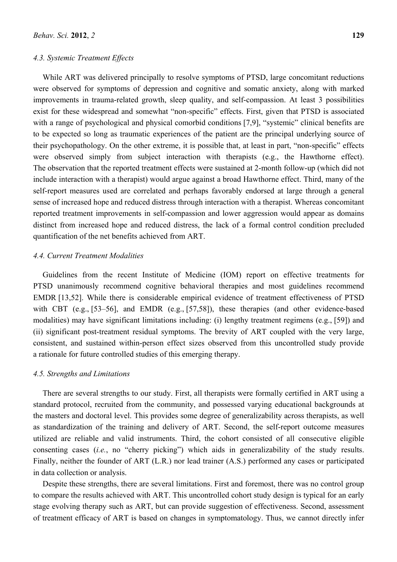# *4.3. Systemic Treatment Effects*

While ART was delivered principally to resolve symptoms of PTSD, large concomitant reductions were observed for symptoms of depression and cognitive and somatic anxiety, along with marked improvements in trauma-related growth, sleep quality, and self-compassion. At least 3 possibilities exist for these widespread and somewhat "non-specific" effects. First, given that PTSD is associated with a range of psychological and physical comorbid conditions [7,9], "systemic" clinical benefits are to be expected so long as traumatic experiences of the patient are the principal underlying source of their psychopathology. On the other extreme, it is possible that, at least in part, "non-specific" effects were observed simply from subject interaction with therapists (e.g., the Hawthorne effect). The observation that the reported treatment effects were sustained at 2-month follow-up (which did not include interaction with a therapist) would argue against a broad Hawthorne effect. Third, many of the self-report measures used are correlated and perhaps favorably endorsed at large through a general sense of increased hope and reduced distress through interaction with a therapist. Whereas concomitant reported treatment improvements in self-compassion and lower aggression would appear as domains distinct from increased hope and reduced distress, the lack of a formal control condition precluded quantification of the net benefits achieved from ART.

# *4.4. Current Treatment Modalities*

Guidelines from the recent Institute of Medicine (IOM) report on effective treatments for PTSD unanimously recommend cognitive behavioral therapies and most guidelines recommend EMDR [13,52]. While there is considerable empirical evidence of treatment effectiveness of PTSD with CBT (e.g., [53–56], and EMDR (e.g., [57,58]), these therapies (and other evidence-based modalities) may have significant limitations including: (i) lengthy treatment regimens (e.g., [59]) and (ii) significant post-treatment residual symptoms. The brevity of ART coupled with the very large, consistent, and sustained within-person effect sizes observed from this uncontrolled study provide a rationale for future controlled studies of this emerging therapy.

# *4.5. Strengths and Limitations*

There are several strengths to our study. First, all therapists were formally certified in ART using a standard protocol, recruited from the community, and possessed varying educational backgrounds at the masters and doctoral level. This provides some degree of generalizability across therapists, as well as standardization of the training and delivery of ART. Second, the self-report outcome measures utilized are reliable and valid instruments. Third, the cohort consisted of all consecutive eligible consenting cases (*i.e.*, no "cherry picking") which aids in generalizability of the study results. Finally, neither the founder of ART (L.R.) nor lead trainer (A.S.) performed any cases or participated in data collection or analysis.

Despite these strengths, there are several limitations. First and foremost, there was no control group to compare the results achieved with ART. This uncontrolled cohort study design is typical for an early stage evolving therapy such as ART, but can provide suggestion of effectiveness. Second, assessment of treatment efficacy of ART is based on changes in symptomatology. Thus, we cannot directly infer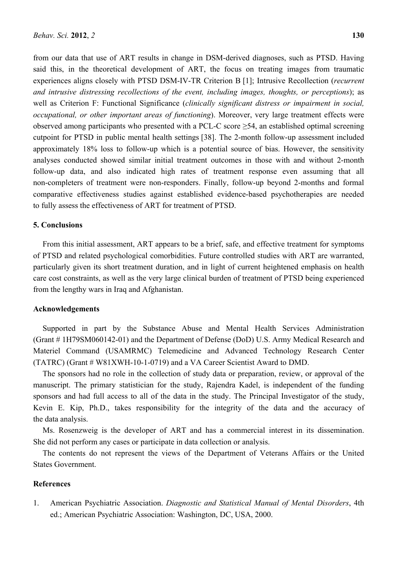from our data that use of ART results in change in DSM-derived diagnoses, such as PTSD. Having said this, in the theoretical development of ART, the focus on treating images from traumatic experiences aligns closely with PTSD DSM-IV-TR Criterion B [1]; Intrusive Recollection (*recurrent and intrusive distressing recollections of the event, including images, thoughts, or perceptions*); as well as Criterion F: Functional Significance (*clinically significant distress or impairment in social, occupational, or other important areas of functioning*). Moreover, very large treatment effects were observed among participants who presented with a PCL-C score  $\geq$ 54, an established optimal screening cutpoint for PTSD in public mental health settings [38]. The 2-month follow-up assessment included approximately 18% loss to follow-up which is a potential source of bias. However, the sensitivity analyses conducted showed similar initial treatment outcomes in those with and without 2-month follow-up data, and also indicated high rates of treatment response even assuming that all non-completers of treatment were non-responders. Finally, follow-up beyond 2-months and formal comparative effectiveness studies against established evidence-based psychotherapies are needed to fully assess the effectiveness of ART for treatment of PTSD.

# **5. Conclusions**

From this initial assessment, ART appears to be a brief, safe, and effective treatment for symptoms of PTSD and related psychological comorbidities. Future controlled studies with ART are warranted, particularly given its short treatment duration, and in light of current heightened emphasis on health care cost constraints, as well as the very large clinical burden of treatment of PTSD being experienced from the lengthy wars in Iraq and Afghanistan.

#### **Acknowledgements**

Supported in part by the Substance Abuse and Mental Health Services Administration (Grant # 1H79SM060142-01) and the Department of Defense (DoD) U.S. Army Medical Research and Materiel Command (USAMRMC) Telemedicine and Advanced Technology Research Center (TATRC) (Grant # W81XWH-10-1-0719) and a VA Career Scientist Award to DMD.

The sponsors had no role in the collection of study data or preparation, review, or approval of the manuscript. The primary statistician for the study, Rajendra Kadel, is independent of the funding sponsors and had full access to all of the data in the study. The Principal Investigator of the study, Kevin E. Kip, Ph.D., takes responsibility for the integrity of the data and the accuracy of the data analysis.

Ms. Rosenzweig is the developer of ART and has a commercial interest in its dissemination. She did not perform any cases or participate in data collection or analysis.

The contents do not represent the views of the Department of Veterans Affairs or the United States Government.

# **References**

1. American Psychiatric Association. *Diagnostic and Statistical Manual of Mental Disorders*, 4th ed.; American Psychiatric Association: Washington, DC, USA, 2000.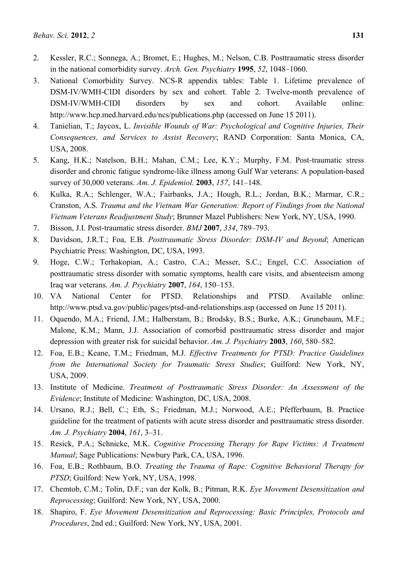- 2. Kessler, R.C.; Sonnega, A.; Bromet, E.; Hughes, M.; Nelson, C.B. Posttraumatic stress disorder in the national comorbidity survey. *Arch. Gen. Psychiatry* **1995**, *52*, 1048–1060.
- 3. National Comorbidity Survey. NCS-R appendix tables: Table 1. Lifetime prevalence of DSM-IV/WMH-CIDI disorders by sex and cohort. Table 2. Twelve-month prevalence of DSM-IV/WMH-CIDI disorders by sex and cohort. Available online: http://www.hcp.med.harvard.edu/ncs/publications.php (accessed on June 15 2011).
- 4. Tanielian, T.; Jaycox, L. *Invisible Wounds of War: Psychological and Cognitive Injuries, Their Consequences, and Services to Assist Recovery*; RAND Corporation: Santa Monica, CA, USA, 2008.
- 5. Kang, H.K.; Natelson, B.H.; Mahan, C.M.; Lee, K.Y.; Murphy, F.M. Post-traumatic stress disorder and chronic fatigue syndrome-like illness among Gulf War veterans: A population-based survey of 30,000 veterans. *Am. J. Epidemiol.* **2003**, *157*, 141–148.
- 6. Kulka, R.A.; Schlenger, W.A.; Fairbanks, J.A.; Hough, R.L.; Jordan, B.K.; Marmar, C.R.; Cranston, A.S. *Trauma and the Vietnam War Generation: Report of Findings from the National Vietnam Veterans Readjustment Study*; Brunner Mazel Publishers: New York, NY, USA, 1990.
- 7. Bisson, J.I. Post-traumatic stress disorder. *BMJ* **2007**, *334*, 789–793.
- 8. Davidson, J.R.T.; Foa, E.B. *Posttraumatic Stress Disorder: DSM-IV and Beyond*; American Psychiatric Press: Washington, DC, USA, 1993.
- 9. Hoge, C.W.; Terhakopian, A.; Castro, C.A.; Messer, S.C.; Engel, C.C. Association of posttraumatic stress disorder with somatic symptoms, health care visits, and absenteeism among Iraq war veterans. *Am. J. Psychiatry* **2007**, *164*, 150–153.
- 10. VA National Center for PTSD. Relationships and PTSD. Available online: http://www.ptsd.va.gov/public/pages/ptsd-and-relationships.asp (accessed on June 15 2011).
- 11. Oquendo, M.A.; Friend, J.M.; Halberstam, B.; Brodsky, B.S.; Burke, A.K.; Grunebaum, M.F.; Malone, K.M.; Mann, J.J. Association of comorbid posttraumatic stress disorder and major depression with greater risk for suicidal behavior. *Am. J. Psychiatry* **2003**, *160*, 580–582.
- 12. Foa, E.B.; Keane, T.M.; Friedman, M.J. *Effective Treatments for PTSD: Practice Guidelines from the International Society for Traumatic Stress Studies*; Guilford: New York, NY, USA, 2009.
- 13. Institute of Medicine. *Treatment of Posttraumatic Stress Disorder: An Assessment of the Evidence*; Institute of Medicine: Washington, DC, USA, 2008.
- 14. Ursano, R.J.; Bell, C.; Eth, S.; Friedman, M.J.; Norwood, A.E.; Pfefferbaum, B. Practice guideline for the treatment of patients with acute stress disorder and posttraumatic stress disorder. *Am. J. Psychiatry* **2004**, *161*, 3–31.
- 15. Resick, P.A.; Schnicke, M.K. *Cognitive Processing Therapy for Rape Victims: A Treatment Manual*; Sage Publications: Newbury Park, CA, USA, 1996.
- 16. Foa, E.B.; Rothbaum, B.O. *Treating the Trauma of Rape: Cognitive Behavioral Therapy for PTSD*; Guilford: New York, NY, USA, 1998.
- 17. Chemtob, C.M.; Tolin, D.F.; van der Kolk, B.; Pitman, R.K. *Eye Movement Desensitization and Reprocessing*; Guilford: New York, NY, USA, 2000.
- 18. Shapiro, F. *Eye Movement Desensitization and Reprocessing: Basic Principles, Protocols and Procedures*, 2nd ed.; Guilford: New York, NY, USA, 2001.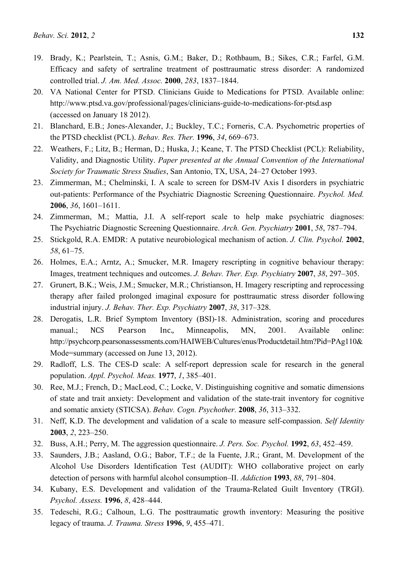- 19. Brady, K.; Pearlstein, T.; Asnis, G.M.; Baker, D.; Rothbaum, B.; Sikes, C.R.; Farfel, G.M. Efficacy and safety of sertraline treatment of posttraumatic stress disorder: A randomized controlled trial. *J. Am. Med. Assoc.* **2000**, *283*, 1837–1844.
- 20. VA National Center for PTSD. Clinicians Guide to Medications for PTSD. Available online: http://www.ptsd.va.gov/professional/pages/clinicians-guide-to-medications-for-ptsd.asp (accessed on January 18 2012).
- 21. Blanchard, E.B.; Jones-Alexander, J.; Buckley, T.C.; Forneris, C.A. Psychometric properties of the PTSD checklist (PCL). *Behav. Res. Ther.* **1996**, *34*, 669–673.
- 22. Weathers, F.; Litz, B.; Herman, D.; Huska, J.; Keane, T. The PTSD Checklist (PCL): Reliability, Validity, and Diagnostic Utility. *Paper presented at the Annual Convention of the International Society for Traumatic Stress Studies*, San Antonio, TX, USA, 24–27 October 1993.
- 23. Zimmerman, M.; Chelminski, I. A scale to screen for DSM-IV Axis I disorders in psychiatric out-patients: Performance of the Psychiatric Diagnostic Screening Questionnaire. *Psychol. Med.* **2006**, *36*, 1601–1611.
- 24. Zimmerman, M.; Mattia, J.I. A self-report scale to help make psychiatric diagnoses: The Psychiatric Diagnostic Screening Questionnaire. *Arch. Gen. Psychiatry* **2001**, *58*, 787–794.
- 25. Stickgold, R.A. EMDR: A putative neurobiological mechanism of action. *J. Clin. Psychol.* **2002**, *58*, 61–75.
- 26. Holmes, E.A.; Arntz, A.; Smucker, M.R. Imagery rescripting in cognitive behaviour therapy: Images, treatment techniques and outcomes. *J. Behav. Ther. Exp. Psychiatry* **2007**, *38*, 297–305.
- 27. Grunert, B.K.; Weis, J.M.; Smucker, M.R.; Christianson, H. Imagery rescripting and reprocessing therapy after failed prolonged imaginal exposure for posttraumatic stress disorder following industrial injury. *J. Behav. Ther. Exp. Psychiatry* **2007**, *38*, 317–328.
- 28. Derogatis, L.R. Brief Symptom Inventory (BSI)-18. Administration, scoring and procedures manual.; NCS Pearson Inc., Minneapolis, MN, 2001. Available online: http://psychcorp.pearsonassessments.com/HAIWEB/Cultures/enus/Productdetail.htm?Pid=PAg110& Mode=summary (accessed on June 13, 2012).
- 29. Radloff, L.S. The CES-D scale: A self-report depression scale for research in the general population. *Appl. Psychol. Meas.* **1977**, *1*, 385–401.
- 30. Ree, M.J.; French, D.; MacLeod, C.; Locke, V. Distinguishing cognitive and somatic dimensions of state and trait anxiety: Development and validation of the state-trait inventory for cognitive and somatic anxiety (STICSA). *Behav. Cogn. Psychother.* **2008**, *36*, 313–332.
- 31. Neff, K.D. The development and validation of a scale to measure self-compassion. *Self Identity* **2003**, *2*, 223–250.
- 32. Buss, A.H.; Perry, M. The aggression questionnaire. *J. Pers. Soc. Psychol.* **1992**, *63*, 452–459.
- 33. Saunders, J.B.; Aasland, O.G.; Babor, T.F.; de la Fuente, J.R.; Grant, M. Development of the Alcohol Use Disorders Identification Test (AUDIT): WHO collaborative project on early detection of persons with harmful alcohol consumption–II. *Addiction* **1993**, *88*, 791–804.
- 34. Kubany, E.S. Development and validation of the Trauma-Related Guilt Inventory (TRGI). *Psychol. Assess.* **1996**, *8*, 428–444.
- 35. Tedeschi, R.G.; Calhoun, L.G. The posttraumatic growth inventory: Measuring the positive legacy of trauma. *J. Trauma. Stress* **1996**, *9*, 455–471.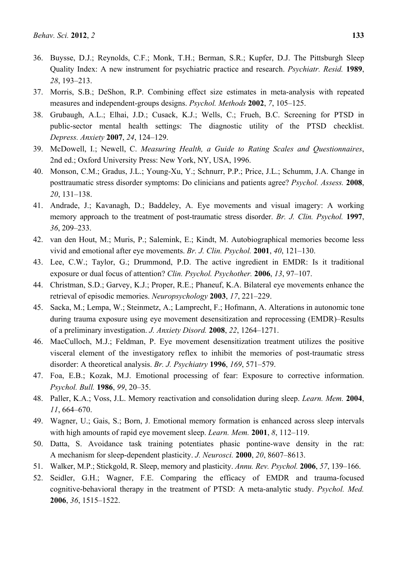- 36. Buysse, D.J.; Reynolds, C.F.; Monk, T.H.; Berman, S.R.; Kupfer, D.J. The Pittsburgh Sleep Quality Index: A new instrument for psychiatric practice and research. *Psychiatr. Resid.* **1989**, *28*, 193–213.
- 37. Morris, S.B.; DeShon, R.P. Combining effect size estimates in meta-analysis with repeated measures and independent-groups designs. *Psychol. Methods* **2002**, *7*, 105–125.
- 38. Grubaugh, A.L.; Elhai, J.D.; Cusack, K.J.; Wells, C.; Frueh, B.C. Screening for PTSD in public-sector mental health settings: The diagnostic utility of the PTSD checklist. *Depress. Anxiety* **2007**, *24*, 124–129.
- 39. McDowell, I.; Newell, C. *Measuring Health, a Guide to Rating Scales and Questionnaires*, 2nd ed.; Oxford University Press: New York, NY, USA, 1996.
- 40. Monson, C.M.; Gradus, J.L.; Young-Xu, Y.; Schnurr, P.P.; Price, J.L.; Schumm, J.A. Change in posttraumatic stress disorder symptoms: Do clinicians and patients agree? *Psychol. Assess.* **2008**, *20*, 131–138.
- 41. Andrade, J.; Kavanagh, D.; Baddeley, A. Eye movements and visual imagery: A working memory approach to the treatment of post-traumatic stress disorder. *Br. J. Clin. Psychol.* **1997**, *36*, 209–233.
- 42. van den Hout, M.; Muris, P.; Salemink, E.; Kindt, M. Autobiographical memories become less vivid and emotional after eye movements. *Br. J. Clin. Psychol.* **2001**, *40*, 121–130.
- 43. Lee, C.W.; Taylor, G.; Drummond, P.D. The active ingredient in EMDR: Is it traditional exposure or dual focus of attention? *Clin. Psychol. Psychother.* **2006**, *13*, 97–107.
- 44. Christman, S.D.; Garvey, K.J.; Proper, R.E.; Phaneuf, K.A. Bilateral eye movements enhance the retrieval of episodic memories. *Neuropsychology* **2003**, *17*, 221–229.
- 45. Sacka, M.; Lempa, W.; Steinmetz, A.; Lamprecht, F.; Hofmann, A. Alterations in autonomic tone during trauma exposure using eye movement desensitization and reprocessing (EMDR)–Results of a preliminary investigation. *J. Anxiety Disord.* **2008**, *22*, 1264–1271.
- 46. MacCulloch, M.J.; Feldman, P. Eye movement desensitization treatment utilizes the positive visceral element of the investigatory reflex to inhibit the memories of post-traumatic stress disorder: A theoretical analysis. *Br. J. Psychiatry* **1996**, *169*, 571–579.
- 47. Foa, E.B.; Kozak, M.J. Emotional processing of fear: Exposure to corrective information. *Psychol. Bull.* **1986**, *99*, 20–35.
- 48. Paller, K.A.; Voss, J.L. Memory reactivation and consolidation during sleep. *Learn. Mem.* **2004**, *11*, 664–670.
- 49. Wagner, U.; Gais, S.; Born, J. Emotional memory formation is enhanced across sleep intervals with high amounts of rapid eye movement sleep. *Learn. Mem.* **2001**, *8*, 112–119.
- 50. Datta, S. Avoidance task training potentiates phasic pontine-wave density in the rat: A mechanism for sleep-dependent plasticity. *J. Neurosci.* **2000**, *20*, 8607–8613.
- 51. Walker, M.P.; Stickgold, R. Sleep, memory and plasticity. *Annu. Rev. Psychol.* **2006**, *57*, 139–166.
- 52. Seidler, G.H.; Wagner, F.E. Comparing the efficacy of EMDR and trauma-focused cognitive-behavioral therapy in the treatment of PTSD: A meta-analytic study. *Psychol. Med.* **2006**, *36*, 1515–1522.